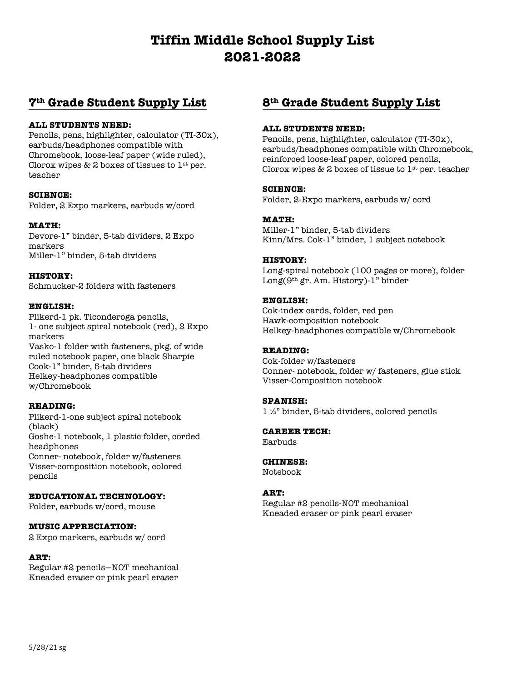# **Tiffin Middle School Supply List 2021-2022**

# **7th Grade Student Supply List**

#### **ALL STUDENTS NEED:**

Pencils, pens, highlighter, calculator (TI-30x), earbuds/headphones compatible with Chromebook, loose-leaf paper (wide ruled), Clorox wipes & 2 boxes of tissues to  $1$ <sup>st</sup> per. teacher

#### **SCIENCE:**

Folder, 2 Expo markers, earbuds w/cord

#### **MATH:**

Devore-1" binder, 5-tab dividers, 2 Expo markers Miller-1" binder, 5-tab dividers

**HISTORY:** Schmucker-2 folders with fasteners

#### **ENGLISH:**

Plikerd-1 pk. Ticonderoga pencils, 1- one subject spiral notebook (red), 2 Expo markers Vasko-1 folder with fasteners, pkg. of wide ruled notebook paper, one black Sharpie Cook-1" binder, 5-tab dividers Helkey-headphones compatible w/Chromebook

## **READING:**

Plikerd-1-one subject spiral notebook (black) Goshe-1 notebook, 1 plastic folder, corded headphones Conner- notebook, folder w/fasteners Visser-composition notebook, colored pencils

# **EDUCATIONAL TECHNOLOGY:**

Folder, earbuds w/cord, mouse

#### **MUSIC APPRECIATION:**

2 Expo markers, earbuds w/ cord

#### **ART:**

Regular #2 pencils—NOT mechanical Kneaded eraser or pink pearl eraser

# **8th Grade Student Supply List**

#### **ALL STUDENTS NEED:**

Pencils, pens, highlighter, calculator (TI-30x), earbuds/headphones compatible with Chromebook, reinforced loose-leaf paper, colored pencils, Clorox wipes & 2 boxes of tissue to  $1<sup>st</sup>$  per. teacher

#### **SCIENCE:**

Folder, 2-Expo markers, earbuds w/ cord

## **MATH:**

Miller-1" binder, 5-tab dividers Kinn/Mrs. Cok-1" binder, 1 subject notebook

#### **HISTORY:**

Long-spiral notebook (100 pages or more), folder Long(9th gr. Am. History)-1" binder

## **ENGLISH:**

Cok-index cards, folder, red pen Hawk-composition notebook Helkey-headphones compatible w/Chromebook

## **READING:**

Cok-folder w/fasteners Conner- notebook, folder w/ fasteners, glue stick Visser-Composition notebook

#### **SPANISH:**

1 ½" binder, 5-tab dividers, colored pencils

# **CAREER TECH:**

Earbuds

## **CHINESE:**

Notebook

## **ART:**

Regular #2 pencils-NOT mechanical Kneaded eraser or pink pearl eraser